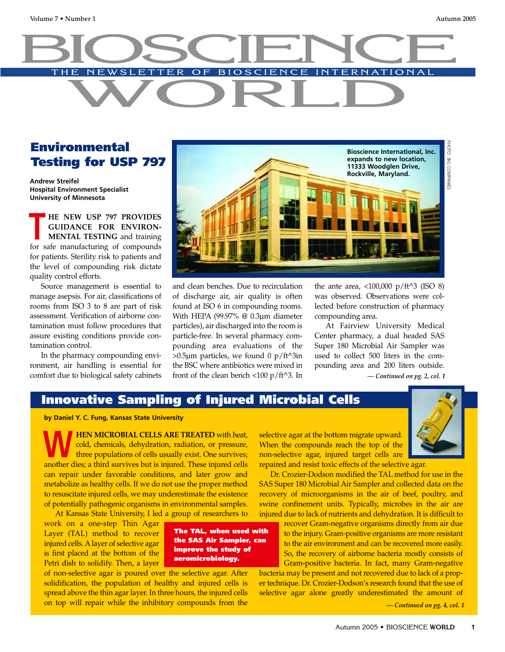# **Environmental Testing for USP 797**

**Andrew Streifel Hospital Environment Specialist University of Minnesota**

**HE NEW USP 797 PROVIDES GUIDANCE FOR ENVIRON-MENTAL TESTING** and training **FIE NEW USP 797 PROVIDES**<br> **GUIDANCE FOR ENVIRON-**<br> **MENTAL TESTING** and training<br>
for safe manufacturing of compounds for patients. Sterility risk to patients and the level of compounding risk dictate quality control efforts.

Source management is essential to manage asepsis. For air, classifications of rooms from ISO 3 to 8 are part of risk assessment. Verification of airborne contamination must follow procedures that assure existing conditions provide contamination control.

In the pharmacy compounding environment, air handling is essential for comfort due to biological safety cabinets



and clean benches. Due to recirculation of discharge air, air quality is often found at ISO 6 in compounding rooms. With HEPA (99.97% @ 0.3µm diameter particles), air discharged into the room is particle-free. In several pharmacy compounding area evaluations of the  $>0.5\mu$ m particles, we found 0 p/ft^3in the BSC where antibiotics were mixed in front of the clean bench <100 p/ft^3. In

the ante area,  $\langle 100,000 \rangle$  p/ft^3 (ISO 8) was observed. Observations were collected before construction of pharmacy compounding area.

At Fairview University Medical Center pharmacy, a dual headed SAS Super 180 Microbial Air Sampler was used to collect 500 liters in the compounding area and 200 liters outside.

*— Continued on pg. 2, col. 1*

## **Innovative Sampling of Injured Microbial Cells**

**by Daniel Y. C. Fung, Kansas State University**

**HEN MICROBIAL CELLS ARE TREATED** with heat, cold, chemicals, dehydration, radiation, or pressure, three populations of cells usually exist. One survives; **ANOTE CELLS AKE TREATED** with heat, cold, chemicals, dehydration, radiation, or pressure, three populations of cells usually exist. One survives; another dies; a third survives but is injured. These injured cells can repair under favorable conditions, and later grow and metabolize as healthy cells. If we do not use the proper method to resuscitate injured cells, we may underestimate the existence of potentially pathogenic organisms in environmental samples.

At Kansas State University, I led a group of researchers to

work on a one-step Thin Agar Layer (TAL) method to recover injured cells. A layer of selective agar is first placed at the bottom of the Petri dish to solidify. Then, a layer

**The TAL, when used with the SAS Air Sampler, can improve the study of aeromicrobiology.**

of non-selective agar is poured over the selective agar. After solidification, the population of healthy and injured cells is spread above the thin agar layer. In three hours, the injured cells on top will repair while the inhibitory compounds from the selective agar at the bottom migrate upward. When the compounds reach the top of the non-selective agar, injured target cells are repaired and resist toxic effects of the selective agar.

Dr. Crozier-Dodson modified the TAL method for use in the SAS Super 180 Microbial Air Sampler and collected data on the recovery of microorganisms in the air of beef, poultry, and swine confinement units. Typically, microbes in the air are injured due to lack of nutrients and dehydration. It is difficult to

> recover Gram-negative organisms directly from air due to the injury. Gram-positive organisms are more resistant to the air environment and can be recovered more easily. So, the recovery of airborne bacteria mostly consists of Gram-positive bacteria. In fact, many Gram-negative

bacteria may be present and not recovered due to lack of a proper technique. Dr. Crozier-Dodson's research found that the use of selective agar alone greatly underestimated the amount of

*— Continued on pg. 4, col. 1*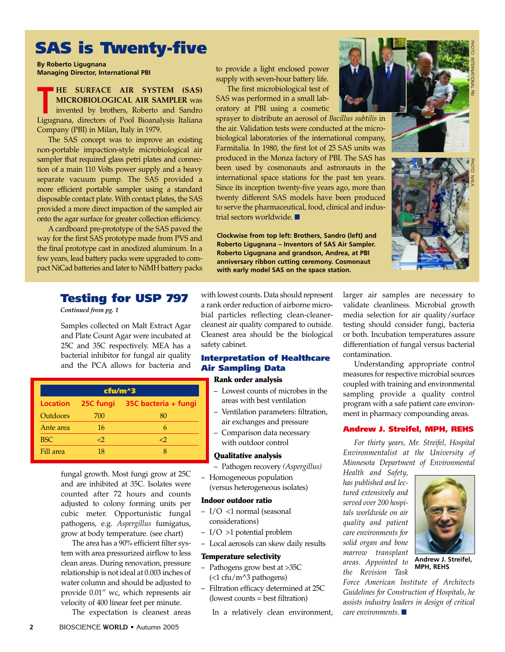# **SAS is Twenty-five**

**By Roberto Ligugnana Managing Director, International PBI**

**HE SURFACE AIR SYSTEM (SAS) MICROBIOLOGICAL AIR SAMPLER** was invented by brothers, Roberto and Sandro **EXECUTE AIR STSTEM (SAS)**<br> **MICROBIOLOGICAL AIR SAMPLER** was<br>
invented by brothers, Roberto and Sandro<br>
Ligugnana, directors of Pool Bioanalysis Italiana Company (PBI) in Milan, Italy in 1979.

The SAS concept was to improve an existing non-portable impaction-style microbiological air sampler that required glass petri plates and connection of a main 110 Volts power supply and a heavy separate vacuum pump. The SAS provided a more efficient portable sampler using a standard disposable contact plate. With contact plates, the SAS provided a more direct impaction of the sampled air onto the agar surface for greater collection efficiency.

A cardboard pre-prototype of the SAS paved the way for the first SAS prototype made from PVS and the final prototype cast in anodized aluminum. In a few years, lead battery packs were upgraded to compact NiCad batteries and later to NiMH battery packs

### **Testing for USP 797**

*Continued from pg. 1*

Samples collected on Malt Extract Agar and Plate Count Agar were incubated at 25C and 35C respectively. MEA has a bacterial inhibitor for fungal air quality and the PCA allows for bacteria and

| cfu/m^3    |           |                      |
|------------|-----------|----------------------|
| Location   | 25C fungi | 35C bacteria + fungi |
| Outdoors   | 700       | 80                   |
| Ante area  | 16        | 6                    |
| <b>BSC</b> | 0>        | 0>                   |
| Fill area  | 18        |                      |

fungal growth. Most fungi grow at 25C and are inhibited at 35C. Isolates were counted after 72 hours and counts adjusted to colony forming units per cubic meter. Opportunistic fungal pathogens, e.g. *Aspergillus* fumigatus, grow at body temperature. (see chart)

The area has a 90% efficient filter system with area pressurized airflow to less clean areas. During renovation, pressure relationship is not ideal at 0.003 inches of water column and should be adjusted to provide 0.01" wc, which represents air velocity of 400 linear feet per minute.

The expectation is cleanest areas

to provide a light enclosed power supply with seven-hour battery life.

The first microbiological test of SAS was performed in a small laboratory at PBI using a cosmetic

sprayer to distribute an aerosol of *Bacillus subtilis* in the air. Validation tests were conducted at the microbiological laboratories of the international company, Farmitalia. In 1980, the first lot of 25 SAS units was produced in the Monza factory of PBI. The SAS has been used by cosmonauts and astronauts in the international space stations for the past ten years. Since its inception twenty-five years ago, more than twenty different SAS models have been produced to serve the pharmaceutical, food, clinical and industrial sectors worldwide. **■**

**Clockwise from top left: Brothers, Sandro (left) and Roberto Ligugnana – Inventors of SAS Air Sampler. Roberto Ligugnana and grandson, Andrea, at PBI anniversary ribbon cutting ceremony. Cosmonaut with early model SAS on the space station.** 

with lowest counts. Data should represent a rank order reduction of airborne microbial particles reflecting clean-cleanercleanest air quality compared to outside. Cleanest area should be the biological safety cabinet.

### **Interpretation of Healthcare Air Sampling Data**

#### **Rank order analysis**

- Lowest counts of microbes in the areas with best ventilation
- Ventilation parameters: filtration, air exchanges and pressure
- Comparison data necessary with outdoor control

#### **Qualitative analysis**

- Pathogen recovery *(Aspergillus)*
- Homogeneous population (versus heterogeneous isolates)

#### **Indoor outdoor ratio**

- I/O <1 normal (seasonal considerations)
- I/O >1 potential problem
- Local aerosols can skew daily results

#### **Temperature selectivity**

- Pathogens grow best at >35C (<1 cfu/m^3 pathogens)
- Filtration efficacy determined at 25C (lowest counts = best filtration)

In a relatively clean environment,



PHOTO:

INTERNATIONAL

곥

PHOTO: NASA

larger air samples are necessary to validate cleanliness. Microbial growth media selection for air quality/surface testing should consider fungi, bacteria or both. Incubation temperatures assure differentiation of fungal versus bacterial contamination.

Understanding appropriate control measures for respective microbial sources coupled with training and environmental sampling provide a quality control program with a safe patient care environment in pharmacy compounding areas.

#### **Andrew J. Streifel, MPH, REHS**

*For thirty years, Mr. Streifel, Hospital Environmentalist at the University of Minnesota Department of Environmental*

*Health and Safety, has published and lectured extensively and served over 200 hospitals worldwide on air quality and patient care environments for solid organ and bone marrow transplant areas. Appointed to the Revision Task*



**Andrew J. Streifel, MPH, REHS**

*Force American Institute of Architects Guidelines for Construction of Hospitals, he assists industry leaders in design of critical care environments.* **■**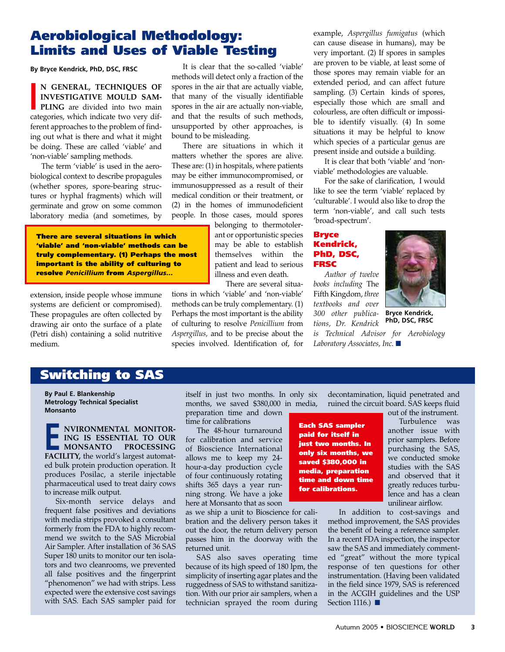# **Aerobiological Methodology: Limits and Uses of Viable Testing**

**By Bryce Kendrick, PhD, DSC, FRSC**

**N GENERAL, TECHNIQUES OF INVESTIGATIVE MOULD SAM-PLING** are divided into two main N GENEKAL, TECHNIQUES OF<br>INVESTIGATIVE MOULD SAMPLING are divided into two main<br>categories, which indicate two very different approaches to the problem of finding out what is there and what it might be doing. These are called 'viable' and 'non-viable' sampling methods.

The term 'viable' is used in the aerobiological context to describe propagules (whether spores, spore-bearing structures or hyphal fragments) which will germinate and grow on some common laboratory media (and sometimes, by

**There are several situations in which 'viable' and 'non-viable' methods can be truly complementary. (1) Perhaps the most important is the ability of culturing to resolve** *Penicillium* **from** *Aspergillus…*

extension, inside people whose immune systems are deficient or compromised). These propagules are often collected by drawing air onto the surface of a plate (Petri dish) containing a solid nutritive medium.

It is clear that the so-called 'viable' methods will detect only a fraction of the spores in the air that are actually viable, that many of the visually identifiable spores in the air are actually non-viable, and that the results of such methods, unsupported by other approaches, is bound to be misleading.

There are situations in which it matters whether the spores are alive. These are: (1) in hospitals, where patients may be either immunocompromised, or immunosuppressed as a result of their medical condition or their treatment, or (2) in the homes of immunodeficient people. In those cases, mould spores

belonging to thermotolerant or opportunistic species may be able to establish themselves within the patient and lead to serious illness and even death.

There are several situa-

tions in which 'viable' and 'non-viable' methods can be truly complementary. (1) Perhaps the most important is the ability of culturing to resolve *Penicillium* from *Aspergillus,* and to be precise about the species involved. Identification of, for example, *Aspergillus fumigatus* (which can cause disease in humans), may be very important. (2) If spores in samples are proven to be viable, at least some of those spores may remain viable for an extended period, and can affect future sampling. (3) Certain kinds of spores, especially those which are small and colourless, are often difficult or impossible to identify visually. (4) In some situations it may be helpful to know which species of a particular genus are present inside and outside a building.

It is clear that both 'viable' and 'nonviable' methodologies are valuable.

For the sake of clarification, I would like to see the term 'viable' replaced by 'culturable'. I would also like to drop the term 'non-viable', and call such tests 'broad-spectrum'.

#### **Bryce Kendrick, PhD, DSC, FRSC**

*Author of twelve books including* The Fifth Kingdom, *three textbooks and over 300 other publications, Dr. Kendrick* 



**Bryce Kendrick, PhD, DSC, FRSC**

*is Technical Advisor for Aerobiology Laboratory Associates, Inc.* **■**

# **Switching to SAS**

**By Paul E. Blankenship Metrology Technical Specialist Monsanto**

**NVIRONMENTAL MONITOR-ING IS ESSENTIAL TO OUR MONSANTO PROCESSING FACILITY, the world's largest automation PROCESSING FACILITY, the world's largest automat**ed bulk protein production operation. It produces Posilac, a sterile injectable pharmaceutical used to treat dairy cows to increase milk output.

Six-month service delays and frequent false positives and deviations with media strips provoked a consultant formerly from the FDA to highly recommend we switch to the SAS Microbial Air Sampler. After installation of 36 SAS Super 180 units to monitor our ten isolators and two cleanrooms, we prevented all false positives and the fingerprint "phenomenon" we had with strips. Less expected were the extensive cost savings with SAS. Each SAS sampler paid for

itself in just two months. In only six months, we saved \$380,000 in media, preparation time and down time for calibrations

The 48-hour turnaround for calibration and service of Bioscience International allows me to keep my 24 hour-a-day production cycle of four continuously rotating shifts 365 days a year running strong. We have a joke here at Monsanto that as soon

as we ship a unit to Bioscience for calibration and the delivery person takes it out the door, the return delivery person passes him in the doorway with the returned unit.

SAS also saves operating time because of its high speed of 180 lpm, the simplicity of inserting agar plates and the ruggedness of SAS to withstand sanitization. With our prior air samplers, when a technician sprayed the room during decontamination, liquid penetrated and ruined the circuit board. SAS keeps fluid out of the instrument.

**Each SAS sampler paid for itself in just two months. In only six months, we saved \$380,000 in media, preparation time and down time for calibrations.**

Turbulence was another issue with prior samplers. Before purchasing the SAS, we conducted smoke studies with the SAS and observed that it greatly reduces turbulence and has a clean unilinear airflow.

In addition to cost-savings and method improvement, the SAS provides the benefit of being a reference sampler. In a recent FDA inspection, the inspector saw the SAS and immediately commented "great" without the more typical response of ten questions for other instrumentation. (Having been validated in the field since 1979, SAS is referenced in the ACGIH guidelines and the USP Section 1116.) **■**